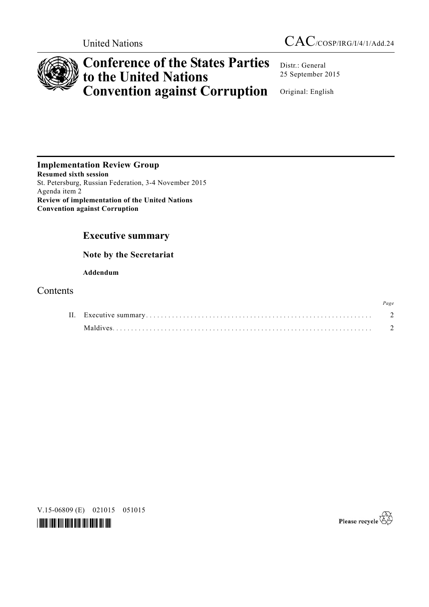

# **Conference of the States Parties to the United Nations Convention against Corruption**

Distr.: General 25 September 2015

Original: English

**Implementation Review Group Resumed sixth session**  St. Petersburg, Russian Federation, 3-4 November 2015 Agenda item 2 **Review of implementation of the United Nations Convention against Corruption**

# **Executive summary**

 **Note by the Secretariat** 

 **Addendum** 

# **Contents**

|  |          | Page |
|--|----------|------|
|  |          |      |
|  | Maldives |      |

V.15-06809 (E) 021015 051015



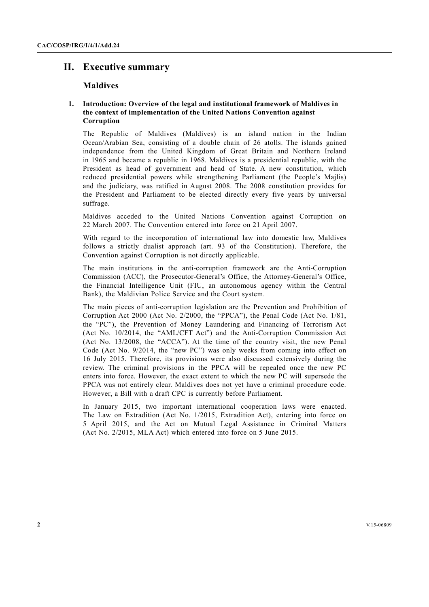# **II. Executive summary**

# **Maldives**

# **1. Introduction: Overview of the legal and institutional framework of Maldives in the context of implementation of the United Nations Convention against Corruption**

The Republic of Maldives (Maldives) is an island nation in the Indian Ocean/Arabian Sea, consisting of a double chain of 26 atolls. The islands gained independence from the United Kingdom of Great Britain and Northern Ireland in 1965 and became a republic in 1968. Maldives is a presidential republic, with the President as head of government and head of State. A new constitution, which reduced presidential powers while strengthening Parliament (the People's Majlis) and the judiciary, was ratified in August 2008. The 2008 constitution provides for the President and Parliament to be elected directly every five years by universal suffrage.

Maldives acceded to the United Nations Convention against Corruption on 22 March 2007. The Convention entered into force on 21 April 2007.

With regard to the incorporation of international law into domestic law, Maldives follows a strictly dualist approach (art. 93 of the Constitution). Therefore, the Convention against Corruption is not directly applicable.

The main institutions in the anti-corruption framework are the Anti-Corruption Commission (ACC), the Prosecutor-General's Office, the Attorney-General's Office, the Financial Intelligence Unit (FIU, an autonomous agency within the Central Bank), the Maldivian Police Service and the Court system.

The main pieces of anti-corruption legislation are the Prevention and Prohibition of Corruption Act 2000 (Act No. 2/2000, the "PPCA"), the Penal Code (Act No. 1/81, the "PC"), the Prevention of Money Laundering and Financing of Terrorism Act (Act No. 10/2014, the "AML/CFT Act") and the Anti-Corruption Commission Act (Act No. 13/2008, the "ACCA"). At the time of the country visit, the new Penal Code (Act No. 9/2014, the "new PC") was only weeks from coming into effect on 16 July 2015. Therefore, its provisions were also discussed extensively during the review. The criminal provisions in the PPCA will be repealed once the new PC enters into force. However, the exact extent to which the new PC will supersede the PPCA was not entirely clear. Maldives does not yet have a criminal procedure code. However, a Bill with a draft CPC is currently before Parliament.

In January 2015, two important international cooperation laws were enacted. The Law on Extradition (Act No. 1/2015, Extradition Act), entering into force on 5 April 2015, and the Act on Mutual Legal Assistance in Criminal Matters (Act No. 2/2015, MLA Act) which entered into force on 5 June 2015.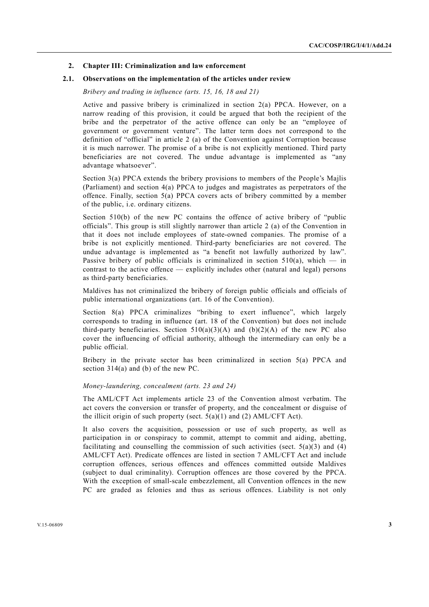#### **2. Chapter III: Criminalization and law enforcement**

#### **2.1. Observations on the implementation of the articles under review**

 *Bribery and trading in influence (arts. 15, 16, 18 and 21)* 

Active and passive bribery is criminalized in section 2(a) PPCA. However, on a narrow reading of this provision, it could be argued that both the recipient of the bribe and the perpetrator of the active offence can only be an "employee of government or government venture". The latter term does not correspond to the definition of "official" in article 2 (a) of the Convention against Corruption because it is much narrower. The promise of a bribe is not explicitly mentioned. Third party beneficiaries are not covered. The undue advantage is implemented as "any advantage whatsoever".

Section 3(a) PPCA extends the bribery provisions to members of the People's Majlis (Parliament) and section 4(a) PPCA to judges and magistrates as perpetrators of the offence. Finally, section 5(a) PPCA covers acts of bribery committed by a member of the public, i.e. ordinary citizens.

Section 510(b) of the new PC contains the offence of active bribery of "public officials". This group is still slightly narrower than article 2 (a) of the Convention in that it does not include employees of state-owned companies. The promise of a bribe is not explicitly mentioned. Third-party beneficiaries are not covered. The undue advantage is implemented as "a benefit not lawfully authorized by law". Passive bribery of public officials is criminalized in section  $510(a)$ , which — in contrast to the active offence — explicitly includes other (natural and legal) persons as third-party beneficiaries.

Maldives has not criminalized the bribery of foreign public officials and officials of public international organizations (art. 16 of the Convention).

Section 8(a) PPCA criminalizes "bribing to exert influence", which largely corresponds to trading in influence (art. 18 of the Convention) but does not include third-party beneficiaries. Section  $510(a)(3)(A)$  and  $(b)(2)(A)$  of the new PC also cover the influencing of official authority, although the intermediary can only be a public official.

Bribery in the private sector has been criminalized in section 5(a) PPCA and section 314(a) and (b) of the new PC.

#### *Money-laundering, concealment (arts. 23 and 24)*

The AML/CFT Act implements article 23 of the Convention almost verbatim. The act covers the conversion or transfer of property, and the concealment or disguise of the illicit origin of such property (sect.  $5(a)(1)$  and (2) AML/CFT Act).

It also covers the acquisition, possession or use of such property, as well as participation in or conspiracy to commit, attempt to commit and aiding, abetting, facilitating and counselling the commission of such activities (sect.  $5(a)(3)$  and (4) AML/CFT Act). Predicate offences are listed in section 7 AML/CFT Act and include corruption offences, serious offences and offences committed outside Maldives (subject to dual criminality). Corruption offences are those covered by the PPCA. With the exception of small-scale embezzlement, all Convention offences in the new PC are graded as felonies and thus as serious offences. Liability is not only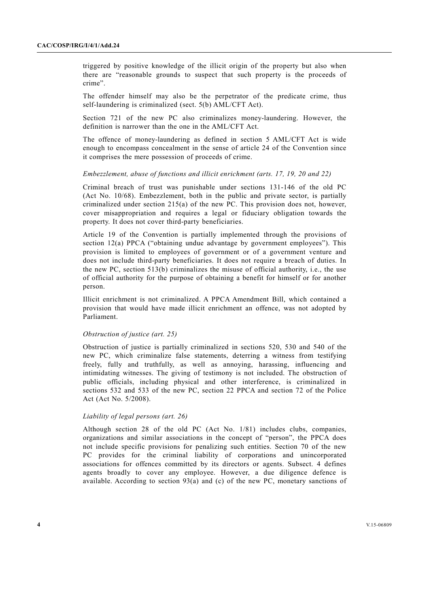triggered by positive knowledge of the illicit origin of the property but also when there are "reasonable grounds to suspect that such property is the proceeds of crime".

The offender himself may also be the perpetrator of the predicate crime, thus self-laundering is criminalized (sect. 5(b) AML/CFT Act).

Section 721 of the new PC also criminalizes money-laundering. However, the definition is narrower than the one in the AML/CFT Act.

The offence of money-laundering as defined in section 5 AML/CFT Act is wide enough to encompass concealment in the sense of article 24 of the Convention since it comprises the mere possession of proceeds of crime.

#### *Embezzlement, abuse of functions and illicit enrichment (arts. 17, 19, 20 and 22)*

Criminal breach of trust was punishable under sections 131-146 of the old PC (Act No. 10/68). Embezzlement, both in the public and private sector, is partially criminalized under section 215(a) of the new PC. This provision does not, however, cover misappropriation and requires a legal or fiduciary obligation towards the property. It does not cover third-party beneficiaries.

Article 19 of the Convention is partially implemented through the provisions of section 12(a) PPCA ("obtaining undue advantage by government employees"). This provision is limited to employees of government or of a government venture and does not include third-party beneficiaries. It does not require a breach of duties. In the new PC, section 513(b) criminalizes the misuse of official authority, i.e., the use of official authority for the purpose of obtaining a benefit for himself or for another person.

Illicit enrichment is not criminalized. A PPCA Amendment Bill, which contained a provision that would have made illicit enrichment an offence, was not adopted by Parliament.

#### *Obstruction of justice (art. 25)*

Obstruction of justice is partially criminalized in sections 520, 530 and 540 of the new PC, which criminalize false statements, deterring a witness from testifying freely, fully and truthfully, as well as annoying, harassing, influencing and intimidating witnesses. The giving of testimony is not included. The obstruction of public officials, including physical and other interference, is criminalized in sections 532 and 533 of the new PC, section 22 PPCA and section 72 of the Police Act (Act No. 5/2008).

#### *Liability of legal persons (art. 26)*

Although section 28 of the old PC (Act No. 1/81) includes clubs, companies, organizations and similar associations in the concept of "person", the PPCA does not include specific provisions for penalizing such entities. Section 70 of the new PC provides for the criminal liability of corporations and unincorporated associations for offences committed by its directors or agents. Subsect. 4 defines agents broadly to cover any employee. However, a due diligence defence is available. According to section  $93(a)$  and (c) of the new PC, monetary sanctions of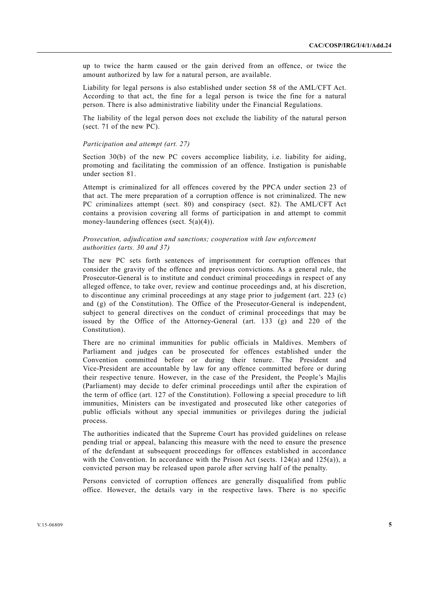up to twice the harm caused or the gain derived from an offence, or twice the amount authorized by law for a natural person, are available.

Liability for legal persons is also established under section 58 of the AML/CFT Act. According to that act, the fine for a legal person is twice the fine for a natural person. There is also administrative liability under the Financial Regulations.

The liability of the legal person does not exclude the liability of the natural person (sect. 71 of the new PC).

#### *Participation and attempt (art. 27)*

Section 30(b) of the new PC covers accomplice liability, i.e. liability for aiding, promoting and facilitating the commission of an offence. Instigation is punishable under section 81.

Attempt is criminalized for all offences covered by the PPCA under section 23 of that act. The mere preparation of a corruption offence is not criminalized. The new PC criminalizes attempt (sect. 80) and conspiracy (sect. 82). The AML/CFT Act contains a provision covering all forms of participation in and attempt to commit money-laundering offences (sect. 5(a)(4)).

### *Prosecution, adjudication and sanctions; cooperation with law enforcement authorities (arts. 30 and 37)*

The new PC sets forth sentences of imprisonment for corruption offences that consider the gravity of the offence and previous convictions. As a general rule, the Prosecutor-General is to institute and conduct criminal proceedings in respect of any alleged offence, to take over, review and continue proceedings and, at his discretion, to discontinue any criminal proceedings at any stage prior to judgement (art. 223 (c) and (g) of the Constitution). The Office of the Prosecutor-General is independent, subject to general directives on the conduct of criminal proceedings that may be issued by the Office of the Attorney-General (art.  $133$  (g) and 220 of the Constitution).

There are no criminal immunities for public officials in Maldives. Members of Parliament and judges can be prosecuted for offences established under the Convention committed before or during their tenure. The President and Vice-President are accountable by law for any offence committed before or during their respective tenure. However, in the case of the President, the People's Majlis (Parliament) may decide to defer criminal proceedings until after the expiration of the term of office (art. 127 of the Constitution). Following a special procedure to lift immunities, Ministers can be investigated and prosecuted like other categories of public officials without any special immunities or privileges during the judicial process.

The authorities indicated that the Supreme Court has provided guidelines on release pending trial or appeal, balancing this measure with the need to ensure the presence of the defendant at subsequent proceedings for offences established in accordance with the Convention. In accordance with the Prison Act (sects.  $124(a)$  and  $125(a)$ ), a convicted person may be released upon parole after serving half of the penalty.

Persons convicted of corruption offences are generally disqualified from public office. However, the details vary in the respective laws. There is no specific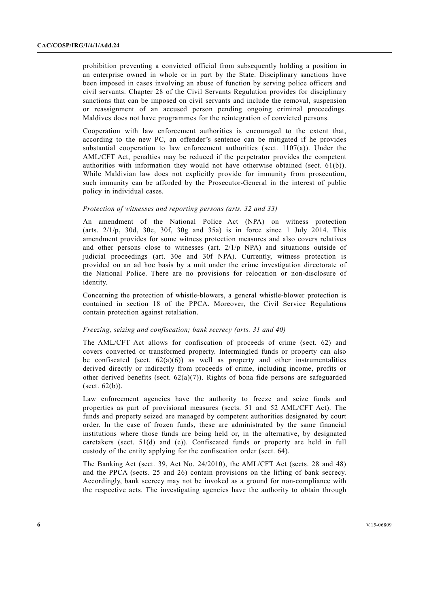prohibition preventing a convicted official from subsequently holding a position in an enterprise owned in whole or in part by the State. Disciplinary sanctions have been imposed in cases involving an abuse of function by serving police officers and civil servants. Chapter 28 of the Civil Servants Regulation provides for disciplinary sanctions that can be imposed on civil servants and include the removal, suspension or reassignment of an accused person pending ongoing criminal proceedings. Maldives does not have programmes for the reintegration of convicted persons.

Cooperation with law enforcement authorities is encouraged to the extent that, according to the new PC, an offender's sentence can be mitigated if he provides substantial cooperation to law enforcement authorities (sect.  $1107(a)$ ). Under the AML/CFT Act, penalties may be reduced if the perpetrator provides the competent authorities with information they would not have otherwise obtained (sect. 61(b)). While Maldivian law does not explicitly provide for immunity from prosecution, such immunity can be afforded by the Prosecutor-General in the interest of public policy in individual cases.

# *Protection of witnesses and reporting persons (arts. 32 and 33)*

An amendment of the National Police Act (NPA) on witness protection (arts.  $2/1/p$ , 30d, 30e, 30f, 30g and 35a) is in force since 1 July 2014. This amendment provides for some witness protection measures and also covers relatives and other persons close to witnesses (art. 2/1/p NPA) and situations outside of judicial proceedings (art. 30e and 30f NPA). Currently, witness protection is provided on an ad hoc basis by a unit under the crime investigation directorate of the National Police. There are no provisions for relocation or non-disclosure of identity.

Concerning the protection of whistle-blowers, a general whistle-blower protection is contained in section 18 of the PPCA. Moreover, the Civil Service Regulations contain protection against retaliation.

#### *Freezing, seizing and confiscation; bank secrecy (arts. 31 and 40)*

The AML/CFT Act allows for confiscation of proceeds of crime (sect. 62) and covers converted or transformed property. Intermingled funds or property can also be confiscated (sect.  $62(a)(6)$ ) as well as property and other instrumentalities derived directly or indirectly from proceeds of crime, including income, profits or other derived benefits (sect.  $62(a)(7)$ ). Rights of bona fide persons are safeguarded  $(\text{sect. } 62(b)).$ 

Law enforcement agencies have the authority to freeze and seize funds and properties as part of provisional measures (sects. 51 and 52 AML/CFT Act). The funds and property seized are managed by competent authorities designated by court order. In the case of frozen funds, these are administrated by the same financial institutions where those funds are being held or, in the alternative, by designated caretakers (sect. 51(d) and (e)). Confiscated funds or property are held in full custody of the entity applying for the confiscation order (sect. 64).

The Banking Act (sect. 39, Act No. 24/2010), the AML/CFT Act (sects. 28 and 48) and the PPCA (sects. 25 and 26) contain provisions on the lifting of bank secrecy. Accordingly, bank secrecy may not be invoked as a ground for non-compliance with the respective acts. The investigating agencies have the authority to obtain through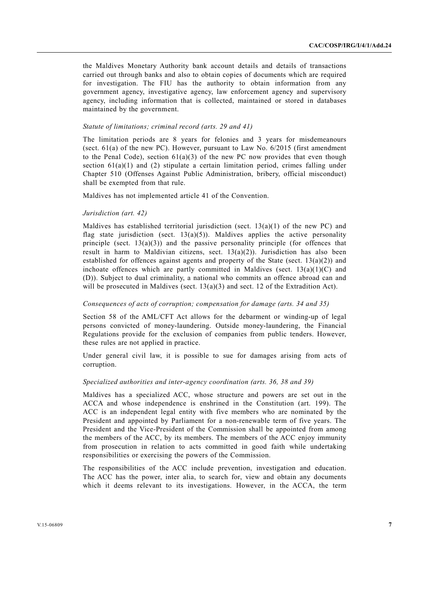the Maldives Monetary Authority bank account details and details of transactions carried out through banks and also to obtain copies of documents which are required for investigation. The FIU has the authority to obtain information from any government agency, investigative agency, law enforcement agency and supervisory agency, including information that is collected, maintained or stored in databases maintained by the government.

# *Statute of limitations; criminal record (arts. 29 and 41)*

The limitation periods are 8 years for felonies and 3 years for misdemeanours (sect.  $61(a)$  of the new PC). However, pursuant to Law No.  $6/2015$  (first amendment to the Penal Code), section  $61(a)(3)$  of the new PC now provides that even though section  $61(a)(1)$  and (2) stipulate a certain limitation period, crimes falling under Chapter 510 (Offenses Against Public Administration, bribery, official misconduct) shall be exempted from that rule.

Maldives has not implemented article 41 of the Convention.

#### *Jurisdiction (art. 42)*

Maldives has established territorial jurisdiction (sect. 13(a)(1) of the new PC) and flag state jurisdiction (sect.  $13(a)(5)$ ). Maldives applies the active personality principle (sect.  $13(a)(3)$ ) and the passive personality principle (for offences that result in harm to Maldivian citizens, sect.  $13(a)(2)$ ). Jurisdiction has also been established for offences against agents and property of the State (sect.  $13(a)(2)$ ) and inchoate offences which are partly committed in Maldives (sect.  $13(a)(1)(C)$  and (D)). Subject to dual criminality, a national who commits an offence abroad can and will be prosecuted in Maldives (sect.  $13(a)(3)$  and sect. 12 of the Extradition Act).

# *Consequences of acts of corruption; compensation for damage (arts. 34 and 35)*

Section 58 of the AML/CFT Act allows for the debarment or winding-up of legal persons convicted of money-laundering. Outside money-laundering, the Financial Regulations provide for the exclusion of companies from public tenders. However, these rules are not applied in practice.

Under general civil law, it is possible to sue for damages arising from acts of corruption.

#### *Specialized authorities and inter-agency coordination (arts. 36, 38 and 39)*

Maldives has a specialized ACC, whose structure and powers are set out in the ACCA and whose independence is enshrined in the Constitution (art. 199). The ACC is an independent legal entity with five members who are nominated by the President and appointed by Parliament for a non-renewable term of five years. The President and the Vice-President of the Commission shall be appointed from among the members of the ACC, by its members. The members of the ACC enjoy immunity from prosecution in relation to acts committed in good faith while undertaking responsibilities or exercising the powers of the Commission.

The responsibilities of the ACC include prevention, investigation and education. The ACC has the power, inter alia, to search for, view and obtain any documents which it deems relevant to its investigations. However, in the ACCA, the term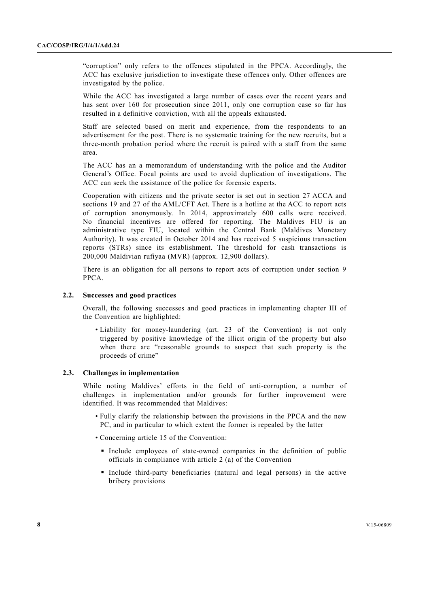"corruption" only refers to the offences stipulated in the PPCA. Accordingly, the ACC has exclusive jurisdiction to investigate these offences only. Other offences are investigated by the police.

While the ACC has investigated a large number of cases over the recent years and has sent over 160 for prosecution since 2011, only one corruption case so far has resulted in a definitive conviction, with all the appeals exhausted.

Staff are selected based on merit and experience, from the respondents to an advertisement for the post. There is no systematic training for the new recruits, but a three-month probation period where the recruit is paired with a staff from the same area.

The ACC has an a memorandum of understanding with the police and the Auditor General's Office. Focal points are used to avoid duplication of investigations. The ACC can seek the assistance of the police for forensic experts.

Cooperation with citizens and the private sector is set out in section 27 ACCA and sections 19 and 27 of the AML/CFT Act. There is a hotline at the ACC to report acts of corruption anonymously. In 2014, approximately 600 calls were received. No financial incentives are offered for reporting. The Maldives FIU is an administrative type FIU, located within the Central Bank (Maldives Monetary Authority). It was created in October 2014 and has received 5 suspicious transaction reports (STRs) since its establishment. The threshold for cash transactions is 200,000 Maldivian rufiyaa (MVR) (approx. 12,900 dollars).

There is an obligation for all persons to report acts of corruption under section 9 PPCA.

# **2.2. Successes and good practices**

Overall, the following successes and good practices in implementing chapter III of the Convention are highlighted:

 • Liability for money-laundering (art. 23 of the Convention) is not only triggered by positive knowledge of the illicit origin of the property but also when there are "reasonable grounds to suspect that such property is the proceeds of crime"

#### **2.3. Challenges in implementation**

While noting Maldives' efforts in the field of anti-corruption, a number of challenges in implementation and/or grounds for further improvement were identified. It was recommended that Maldives:

- Fully clarify the relationship between the provisions in the PPCA and the new PC, and in particular to which extent the former is repealed by the latter
- Concerning article 15 of the Convention:
	- Include employees of state-owned companies in the definition of public officials in compliance with article 2 (a) of the Convention
	- Include third-party beneficiaries (natural and legal persons) in the active bribery provisions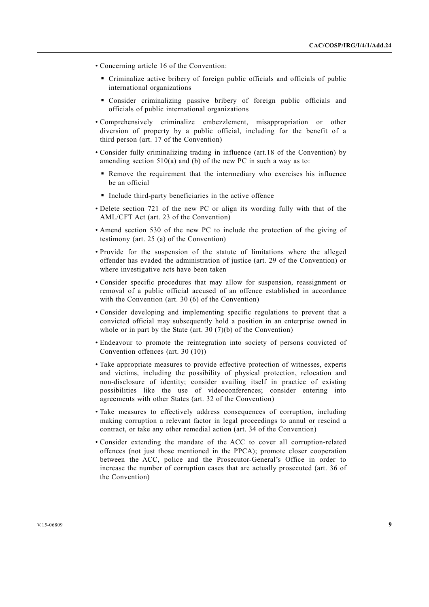- Concerning article 16 of the Convention:
	- Criminalize active bribery of foreign public officials and officials of public international organizations
	- Consider criminalizing passive bribery of foreign public officials and officials of public international organizations
- Comprehensively criminalize embezzlement, misappropriation or other diversion of property by a public official, including for the benefit of a third person (art. 17 of the Convention)
- Consider fully criminalizing trading in influence (art.18 of the Convention) by amending section  $510(a)$  and (b) of the new PC in such a way as to:
	- Remove the requirement that the intermediary who exercises his influence be an official
	- $\blacksquare$  Include third-party beneficiaries in the active offence
- Delete section 721 of the new PC or align its wording fully with that of the AML/CFT Act (art. 23 of the Convention)
- Amend section 530 of the new PC to include the protection of the giving of testimony (art. 25 (a) of the Convention)
- Provide for the suspension of the statute of limitations where the alleged offender has evaded the administration of justice (art. 29 of the Convention) or where investigative acts have been taken
- Consider specific procedures that may allow for suspension, reassignment or removal of a public official accused of an offence established in accordance with the Convention (art. 30 (6) of the Convention)
- Consider developing and implementing specific regulations to prevent that a convicted official may subsequently hold a position in an enterprise owned in whole or in part by the State (art. 30 (7)(b) of the Convention)
- Endeavour to promote the reintegration into society of persons convicted of Convention offences (art. 30 (10))
- Take appropriate measures to provide effective protection of witnesses, experts and victims, including the possibility of physical protection, relocation and non-disclosure of identity; consider availing itself in practice of existing possibilities like the use of videoconferences; consider entering into agreements with other States (art. 32 of the Convention)
- Take measures to effectively address consequences of corruption, including making corruption a relevant factor in legal proceedings to annul or rescind a contract, or take any other remedial action (art. 34 of the Convention)
- Consider extending the mandate of the ACC to cover all corruption-related offences (not just those mentioned in the PPCA); promote closer cooperation between the ACC, police and the Prosecutor-General's Office in order to increase the number of corruption cases that are actually prosecuted (art. 36 of the Convention)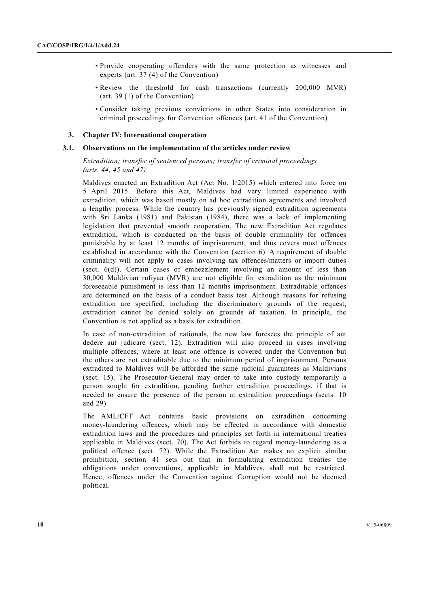- Provide cooperating offenders with the same protection as witnesses and experts (art. 37 (4) of the Convention)
- Review the threshold for cash transactions (currently 200,000 MVR) (art. 39 (1) of the Convention)
- Consider taking previous convictions in other States into consideration in criminal proceedings for Convention offences (art. 41 of the Convention)

#### **3. Chapter IV: International cooperation**

### **3.1. Observations on the implementation of the articles under review**

 *Extradition; transfer of sentenced persons; transfer of criminal proceedings (arts. 44, 45 and 47)* 

Maldives enacted an Extradition Act (Act No. 1/2015) which entered into force on 5 April 2015. Before this Act, Maldives had very limited experience with extradition, which was based mostly on ad hoc extradition agreements and involved a lengthy process. While the country has previously signed extradition agreements with Sri Lanka (1981) and Pakistan (1984), there was a lack of implementing legislation that prevented smooth cooperation. The new Extradition Act regulates extradition, which is conducted on the basis of double criminality for offences punishable by at least 12 months of imprisonment, and thus covers most offences established in accordance with the Convention (section 6). A requirement of double criminality will not apply to cases involving tax offences/matters or import duties (sect. 6(d)). Certain cases of embezzlement involving an amount of less than 30,000 Maldivian rufiyaa (MVR) are not eligible for extradition as the minimum foreseeable punishment is less than 12 months imprisonment. Extraditable offences are determined on the basis of a conduct basis test. Although reasons for refusing extradition are specified, including the discriminatory grounds of the request, extradition cannot be denied solely on grounds of taxation. In principle, the Convention is not applied as a basis for extradition.

In case of non-extradition of nationals, the new law foresees the principle of aut dedere aut judicare (sect. 12). Extradition will also proceed in cases involving multiple offences, where at least one offence is covered under the Convention but the others are not extraditable due to the minimum period of imprisonment. Persons extradited to Maldives will be afforded the same judicial guarantees as Maldivians (sect. 15). The Prosecutor-General may order to take into custody temporarily a person sought for extradition, pending further extradition proceedings, if that is needed to ensure the presence of the person at extradition proceedings (sects. 10 and 29).

The AML/CFT Act contains basic provisions on extradition concerning money-laundering offences, which may be effected in accordance with domestic extradition laws and the procedures and principles set forth in international treaties applicable in Maldives (sect. 70). The Act forbids to regard money-laundering as a political offence (sect. 72). While the Extradition Act makes no explicit similar prohibition, section 41 sets out that in formulating extradition treaties the obligations under conventions, applicable in Maldives, shall not be restricted. Hence, offences under the Convention against Corruption would not be deemed political.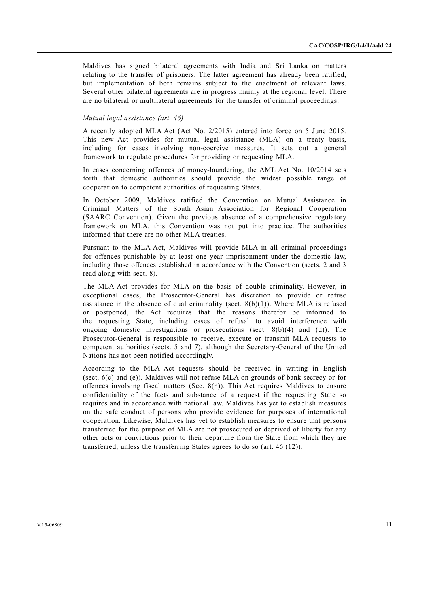Maldives has signed bilateral agreements with India and Sri Lanka on matters relating to the transfer of prisoners. The latter agreement has already been ratified, but implementation of both remains subject to the enactment of relevant laws. Several other bilateral agreements are in progress mainly at the regional level. There are no bilateral or multilateral agreements for the transfer of criminal proceedings.

# *Mutual legal assistance (art. 46)*

A recently adopted MLA Act (Act No. 2/2015) entered into force on 5 June 2015. This new Act provides for mutual legal assistance (MLA) on a treaty basis, including for cases involving non-coercive measures. It sets out a general framework to regulate procedures for providing or requesting MLA.

In cases concerning offences of money-laundering, the AML Act No. 10/2014 sets forth that domestic authorities should provide the widest possible range of cooperation to competent authorities of requesting States.

In October 2009, Maldives ratified the Convention on Mutual Assistance in Criminal Matters of the South Asian Association for Regional Cooperation (SAARC Convention). Given the previous absence of a comprehensive regulatory framework on MLA, this Convention was not put into practice. The authorities informed that there are no other MLA treaties.

Pursuant to the MLA Act, Maldives will provide MLA in all criminal proceedings for offences punishable by at least one year imprisonment under the domestic law, including those offences established in accordance with the Convention (sects. 2 and 3 read along with sect. 8).

The MLA Act provides for MLA on the basis of double criminality. However, in exceptional cases, the Prosecutor-General has discretion to provide or refuse assistance in the absence of dual criminality (sect.  $8(b)(1)$ ). Where MLA is refused or postponed, the Act requires that the reasons therefor be informed to the requesting State, including cases of refusal to avoid interference with ongoing domestic investigations or prosecutions (sect.  $8(b)(4)$  and (d)). The Prosecutor-General is responsible to receive, execute or transmit MLA requests to competent authorities (sects. 5 and 7), although the Secretary-General of the United Nations has not been notified accordingly.

According to the MLA Act requests should be received in writing in English (sect. 6(c) and (e)). Maldives will not refuse MLA on grounds of bank secrecy or for offences involving fiscal matters (Sec. 8(n)). This Act requires Maldives to ensure confidentiality of the facts and substance of a request if the requesting State so requires and in accordance with national law. Maldives has yet to establish measures on the safe conduct of persons who provide evidence for purposes of international cooperation. Likewise, Maldives has yet to establish measures to ensure that persons transferred for the purpose of MLA are not prosecuted or deprived of liberty for any other acts or convictions prior to their departure from the State from which they are transferred, unless the transferring States agrees to do so (art. 46 (12)).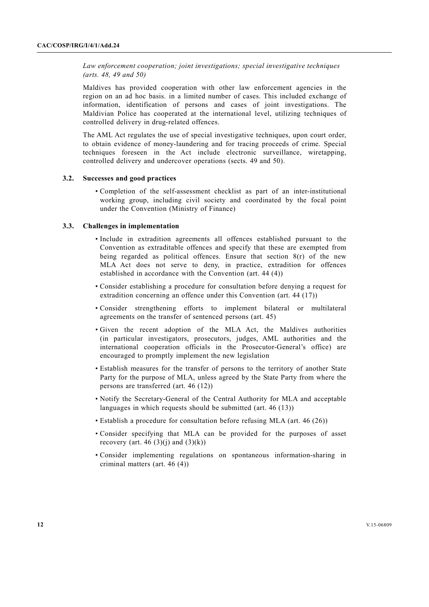*Law enforcement cooperation; joint investigations; special investigative techniques (arts. 48, 49 and 50)* 

Maldives has provided cooperation with other law enforcement agencies in the region on an ad hoc basis. in a limited number of cases. This included exchange of information, identification of persons and cases of joint investigations. The Maldivian Police has cooperated at the international level, utilizing techniques of controlled delivery in drug-related offences.

The AML Act regulates the use of special investigative techniques, upon court order, to obtain evidence of money-laundering and for tracing proceeds of crime. Special techniques foreseen in the Act include electronic surveillance, wiretapping, controlled delivery and undercover operations (sects. 49 and 50).

# **3.2. Successes and good practices**

 • Completion of the self-assessment checklist as part of an inter-institutional working group, including civil society and coordinated by the focal point under the Convention (Ministry of Finance)

# **3.3. Challenges in implementation**

- Include in extradition agreements all offences established pursuant to the Convention as extraditable offences and specify that these are exempted from being regarded as political offences. Ensure that section 8(r) of the new MLA Act does not serve to deny, in practice, extradition for offences established in accordance with the Convention (art. 44 (4))
- Consider establishing a procedure for consultation before denying a request for extradition concerning an offence under this Convention (art. 44 (17))
- Consider strengthening efforts to implement bilateral or multilateral agreements on the transfer of sentenced persons (art. 45)
- Given the recent adoption of the MLA Act, the Maldives authorities (in particular investigators, prosecutors, judges, AML authorities and the international cooperation officials in the Prosecutor-General's office) are encouraged to promptly implement the new legislation
- Establish measures for the transfer of persons to the territory of another State Party for the purpose of MLA, unless agreed by the State Party from where the persons are transferred (art. 46 (12))
- Notify the Secretary-General of the Central Authority for MLA and acceptable languages in which requests should be submitted (art. 46 (13))
- Establish a procedure for consultation before refusing MLA (art. 46 (26))
- Consider specifying that MLA can be provided for the purposes of asset recovery (art. 46 (3)(j) and (3)(k))
- Consider implementing regulations on spontaneous information-sharing in criminal matters (art. 46 (4))